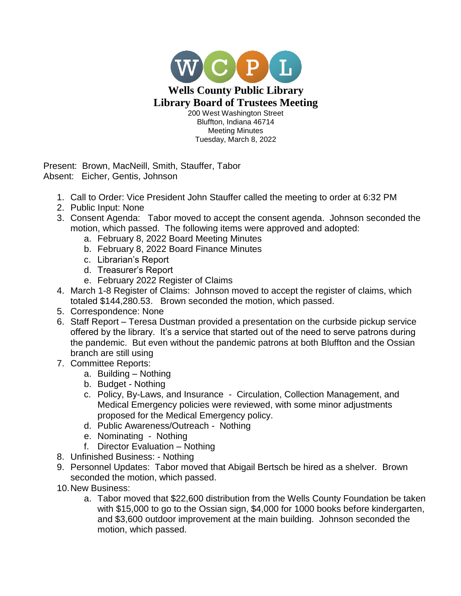

Present: Brown, MacNeill, Smith, Stauffer, Tabor Absent: Eicher, Gentis, Johnson

- 1. Call to Order: Vice President John Stauffer called the meeting to order at 6:32 PM
- 2. Public Input: None
- 3. Consent Agenda: Tabor moved to accept the consent agenda. Johnson seconded the motion, which passed. The following items were approved and adopted:
	- a. February 8, 2022 Board Meeting Minutes
	- b. February 8, 2022 Board Finance Minutes
	- c. Librarian's Report
	- d. Treasurer's Report
	- e. February 2022 Register of Claims
- 4. March 1-8 Register of Claims: Johnson moved to accept the register of claims, which totaled \$144,280.53. Brown seconded the motion, which passed.
- 5. Correspondence: None
- 6. Staff Report Teresa Dustman provided a presentation on the curbside pickup service offered by the library. It's a service that started out of the need to serve patrons during the pandemic. But even without the pandemic patrons at both Bluffton and the Ossian branch are still using
- 7. Committee Reports:
	- a. Building Nothing
	- b. Budget Nothing
	- c. Policy, By-Laws, and Insurance Circulation, Collection Management, and Medical Emergency policies were reviewed, with some minor adjustments proposed for the Medical Emergency policy.
	- d. Public Awareness/Outreach Nothing
	- e. Nominating Nothing
	- f. Director Evaluation Nothing
- 8. Unfinished Business: Nothing
- 9. Personnel Updates: Tabor moved that Abigail Bertsch be hired as a shelver. Brown seconded the motion, which passed.
- 10.New Business:
	- a. Tabor moved that \$22,600 distribution from the Wells County Foundation be taken with \$15,000 to go to the Ossian sign, \$4,000 for 1000 books before kindergarten, and \$3,600 outdoor improvement at the main building. Johnson seconded the motion, which passed.